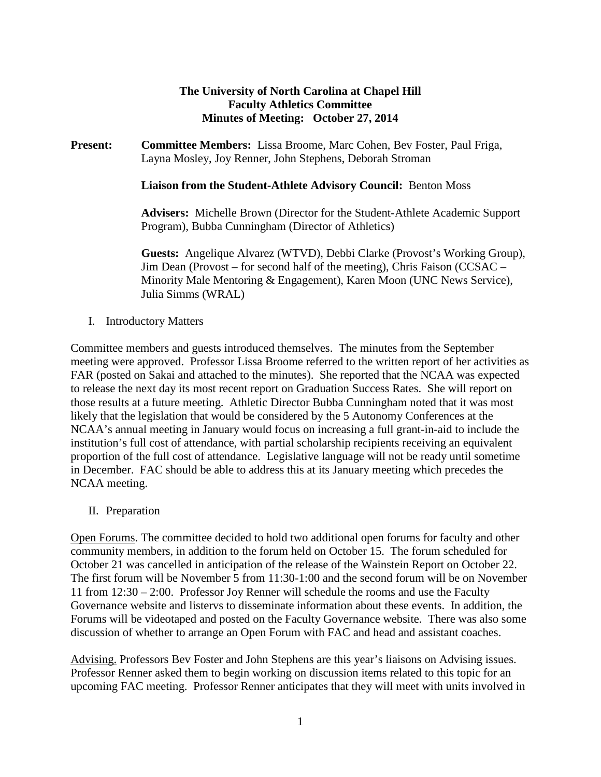## **The University of North Carolina at Chapel Hill Faculty Athletics Committee Minutes of Meeting: October 27, 2014**

**Present: Committee Members:** Lissa Broome, Marc Cohen, Bev Foster, Paul Friga, Layna Mosley, Joy Renner, John Stephens, Deborah Stroman

**Liaison from the Student-Athlete Advisory Council:** Benton Moss

**Advisers:** Michelle Brown (Director for the Student-Athlete Academic Support Program), Bubba Cunningham (Director of Athletics)

**Guests:** Angelique Alvarez (WTVD), Debbi Clarke (Provost's Working Group), Jim Dean (Provost – for second half of the meeting), Chris Faison (CCSAC – Minority Male Mentoring & Engagement), Karen Moon (UNC News Service), Julia Simms (WRAL)

I. Introductory Matters

Committee members and guests introduced themselves. The minutes from the September meeting were approved. Professor Lissa Broome referred to the written report of her activities as FAR (posted on Sakai and attached to the minutes). She reported that the NCAA was expected to release the next day its most recent report on Graduation Success Rates. She will report on those results at a future meeting. Athletic Director Bubba Cunningham noted that it was most likely that the legislation that would be considered by the 5 Autonomy Conferences at the NCAA's annual meeting in January would focus on increasing a full grant-in-aid to include the institution's full cost of attendance, with partial scholarship recipients receiving an equivalent proportion of the full cost of attendance. Legislative language will not be ready until sometime in December. FAC should be able to address this at its January meeting which precedes the NCAA meeting.

II. Preparation

Open Forums. The committee decided to hold two additional open forums for faculty and other community members, in addition to the forum held on October 15. The forum scheduled for October 21 was cancelled in anticipation of the release of the Wainstein Report on October 22. The first forum will be November 5 from 11:30-1:00 and the second forum will be on November 11 from 12:30 – 2:00. Professor Joy Renner will schedule the rooms and use the Faculty Governance website and listervs to disseminate information about these events. In addition, the Forums will be videotaped and posted on the Faculty Governance website. There was also some discussion of whether to arrange an Open Forum with FAC and head and assistant coaches.

Advising. Professors Bev Foster and John Stephens are this year's liaisons on Advising issues. Professor Renner asked them to begin working on discussion items related to this topic for an upcoming FAC meeting. Professor Renner anticipates that they will meet with units involved in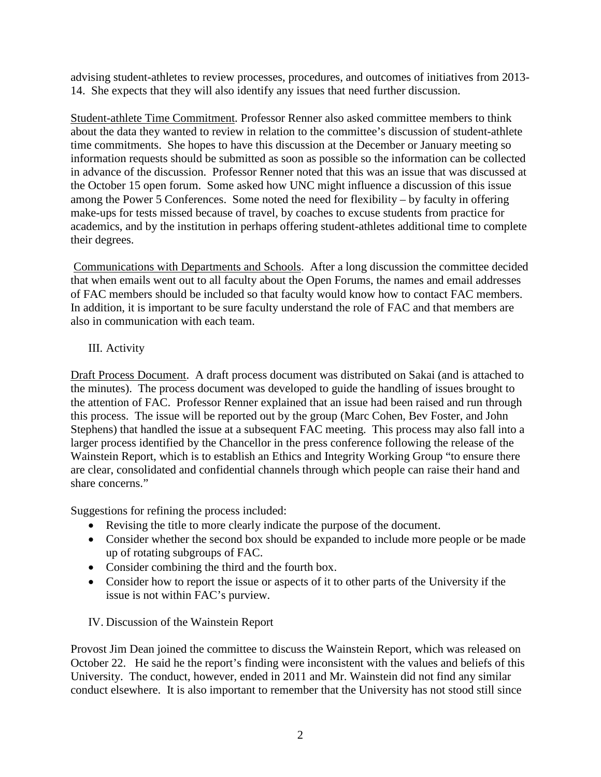advising student-athletes to review processes, procedures, and outcomes of initiatives from 2013- 14. She expects that they will also identify any issues that need further discussion.

Student-athlete Time Commitment. Professor Renner also asked committee members to think about the data they wanted to review in relation to the committee's discussion of student-athlete time commitments. She hopes to have this discussion at the December or January meeting so information requests should be submitted as soon as possible so the information can be collected in advance of the discussion. Professor Renner noted that this was an issue that was discussed at the October 15 open forum. Some asked how UNC might influence a discussion of this issue among the Power 5 Conferences. Some noted the need for flexibility – by faculty in offering make-ups for tests missed because of travel, by coaches to excuse students from practice for academics, and by the institution in perhaps offering student-athletes additional time to complete their degrees.

Communications with Departments and Schools. After a long discussion the committee decided that when emails went out to all faculty about the Open Forums, the names and email addresses of FAC members should be included so that faculty would know how to contact FAC members. In addition, it is important to be sure faculty understand the role of FAC and that members are also in communication with each team.

## III. Activity

Draft Process Document. A draft process document was distributed on Sakai (and is attached to the minutes). The process document was developed to guide the handling of issues brought to the attention of FAC. Professor Renner explained that an issue had been raised and run through this process. The issue will be reported out by the group (Marc Cohen, Bev Foster, and John Stephens) that handled the issue at a subsequent FAC meeting. This process may also fall into a larger process identified by the Chancellor in the press conference following the release of the Wainstein Report, which is to establish an Ethics and Integrity Working Group "to ensure there are clear, consolidated and confidential channels through which people can raise their hand and share concerns."

Suggestions for refining the process included:

- Revising the title to more clearly indicate the purpose of the document.
- Consider whether the second box should be expanded to include more people or be made up of rotating subgroups of FAC.
- Consider combining the third and the fourth box.
- Consider how to report the issue or aspects of it to other parts of the University if the issue is not within FAC's purview.

## IV. Discussion of the Wainstein Report

Provost Jim Dean joined the committee to discuss the Wainstein Report, which was released on October 22. He said he the report's finding were inconsistent with the values and beliefs of this University. The conduct, however, ended in 2011 and Mr. Wainstein did not find any similar conduct elsewhere. It is also important to remember that the University has not stood still since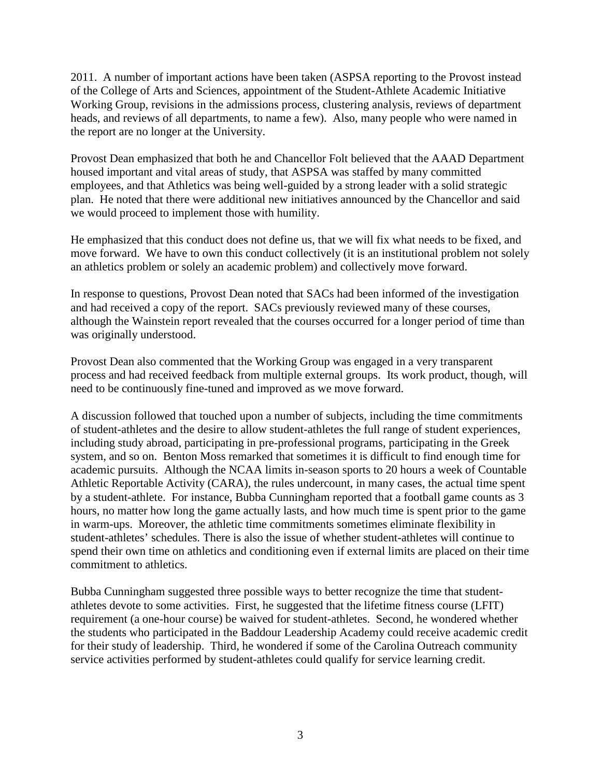2011. A number of important actions have been taken (ASPSA reporting to the Provost instead of the College of Arts and Sciences, appointment of the Student-Athlete Academic Initiative Working Group, revisions in the admissions process, clustering analysis, reviews of department heads, and reviews of all departments, to name a few). Also, many people who were named in the report are no longer at the University.

Provost Dean emphasized that both he and Chancellor Folt believed that the AAAD Department housed important and vital areas of study, that ASPSA was staffed by many committed employees, and that Athletics was being well-guided by a strong leader with a solid strategic plan. He noted that there were additional new initiatives announced by the Chancellor and said we would proceed to implement those with humility.

He emphasized that this conduct does not define us, that we will fix what needs to be fixed, and move forward. We have to own this conduct collectively (it is an institutional problem not solely an athletics problem or solely an academic problem) and collectively move forward.

In response to questions, Provost Dean noted that SACs had been informed of the investigation and had received a copy of the report. SACs previously reviewed many of these courses, although the Wainstein report revealed that the courses occurred for a longer period of time than was originally understood.

Provost Dean also commented that the Working Group was engaged in a very transparent process and had received feedback from multiple external groups. Its work product, though, will need to be continuously fine-tuned and improved as we move forward.

A discussion followed that touched upon a number of subjects, including the time commitments of student-athletes and the desire to allow student-athletes the full range of student experiences, including study abroad, participating in pre-professional programs, participating in the Greek system, and so on. Benton Moss remarked that sometimes it is difficult to find enough time for academic pursuits. Although the NCAA limits in-season sports to 20 hours a week of Countable Athletic Reportable Activity (CARA), the rules undercount, in many cases, the actual time spent by a student-athlete. For instance, Bubba Cunningham reported that a football game counts as 3 hours, no matter how long the game actually lasts, and how much time is spent prior to the game in warm-ups. Moreover, the athletic time commitments sometimes eliminate flexibility in student-athletes' schedules. There is also the issue of whether student-athletes will continue to spend their own time on athletics and conditioning even if external limits are placed on their time commitment to athletics.

Bubba Cunningham suggested three possible ways to better recognize the time that studentathletes devote to some activities. First, he suggested that the lifetime fitness course (LFIT) requirement (a one-hour course) be waived for student-athletes. Second, he wondered whether the students who participated in the Baddour Leadership Academy could receive academic credit for their study of leadership. Third, he wondered if some of the Carolina Outreach community service activities performed by student-athletes could qualify for service learning credit.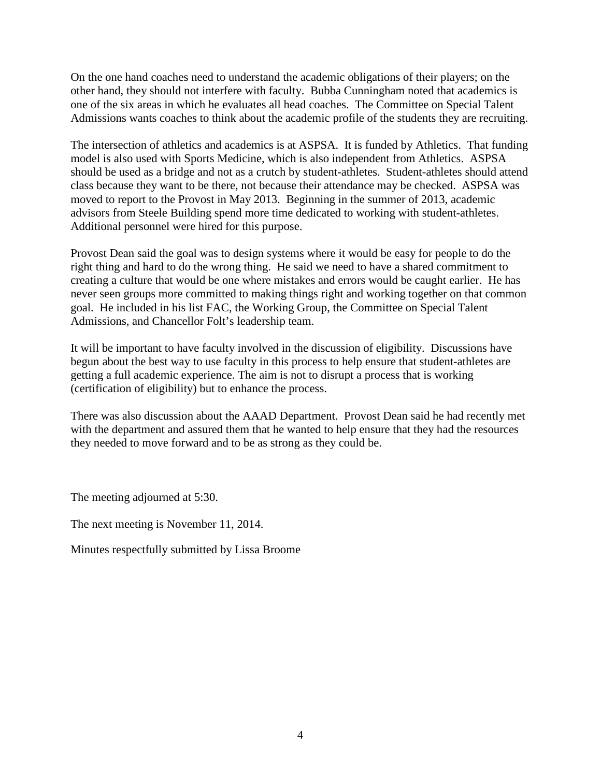On the one hand coaches need to understand the academic obligations of their players; on the other hand, they should not interfere with faculty. Bubba Cunningham noted that academics is one of the six areas in which he evaluates all head coaches. The Committee on Special Talent Admissions wants coaches to think about the academic profile of the students they are recruiting.

The intersection of athletics and academics is at ASPSA. It is funded by Athletics. That funding model is also used with Sports Medicine, which is also independent from Athletics. ASPSA should be used as a bridge and not as a crutch by student-athletes. Student-athletes should attend class because they want to be there, not because their attendance may be checked. ASPSA was moved to report to the Provost in May 2013. Beginning in the summer of 2013, academic advisors from Steele Building spend more time dedicated to working with student-athletes. Additional personnel were hired for this purpose.

Provost Dean said the goal was to design systems where it would be easy for people to do the right thing and hard to do the wrong thing. He said we need to have a shared commitment to creating a culture that would be one where mistakes and errors would be caught earlier. He has never seen groups more committed to making things right and working together on that common goal. He included in his list FAC, the Working Group, the Committee on Special Talent Admissions, and Chancellor Folt's leadership team.

It will be important to have faculty involved in the discussion of eligibility. Discussions have begun about the best way to use faculty in this process to help ensure that student-athletes are getting a full academic experience. The aim is not to disrupt a process that is working (certification of eligibility) but to enhance the process.

There was also discussion about the AAAD Department. Provost Dean said he had recently met with the department and assured them that he wanted to help ensure that they had the resources they needed to move forward and to be as strong as they could be.

The meeting adjourned at 5:30.

The next meeting is November 11, 2014.

Minutes respectfully submitted by Lissa Broome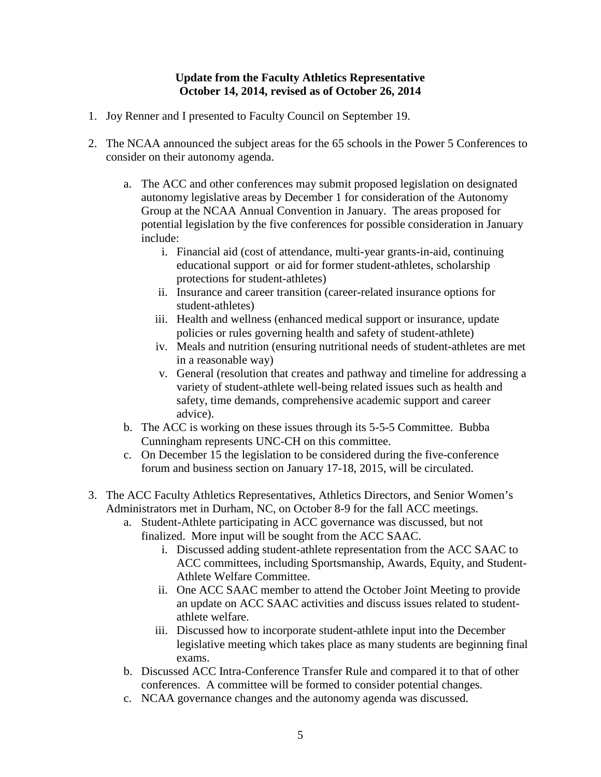#### **Update from the Faculty Athletics Representative October 14, 2014, revised as of October 26, 2014**

- 1. Joy Renner and I presented to Faculty Council on September 19.
- 2. The NCAA announced the subject areas for the 65 schools in the Power 5 Conferences to consider on their autonomy agenda.
	- a. The ACC and other conferences may submit proposed legislation on designated autonomy legislative areas by December 1 for consideration of the Autonomy Group at the NCAA Annual Convention in January. The areas proposed for potential legislation by the five conferences for possible consideration in January include:
		- i. Financial aid (cost of attendance, multi-year grants-in-aid, continuing educational support or aid for former student-athletes, scholarship protections for student-athletes)
		- ii. Insurance and career transition (career-related insurance options for student-athletes)
		- iii. Health and wellness (enhanced medical support or insurance, update policies or rules governing health and safety of student-athlete)
		- iv. Meals and nutrition (ensuring nutritional needs of student-athletes are met in a reasonable way)
		- v. General (resolution that creates and pathway and timeline for addressing a variety of student-athlete well-being related issues such as health and safety, time demands, comprehensive academic support and career advice).
	- b. The ACC is working on these issues through its 5-5-5 Committee. Bubba Cunningham represents UNC-CH on this committee.
	- c. On December 15 the legislation to be considered during the five-conference forum and business section on January 17-18, 2015, will be circulated.
- 3. The ACC Faculty Athletics Representatives, Athletics Directors, and Senior Women's Administrators met in Durham, NC, on October 8-9 for the fall ACC meetings.
	- a. Student-Athlete participating in ACC governance was discussed, but not finalized. More input will be sought from the ACC SAAC.
		- i. Discussed adding student-athlete representation from the ACC SAAC to ACC committees, including Sportsmanship, Awards, Equity, and Student-Athlete Welfare Committee.
		- ii. One ACC SAAC member to attend the October Joint Meeting to provide an update on ACC SAAC activities and discuss issues related to studentathlete welfare.
		- iii. Discussed how to incorporate student-athlete input into the December legislative meeting which takes place as many students are beginning final exams.
	- b. Discussed ACC Intra-Conference Transfer Rule and compared it to that of other conferences. A committee will be formed to consider potential changes.
	- c. NCAA governance changes and the autonomy agenda was discussed.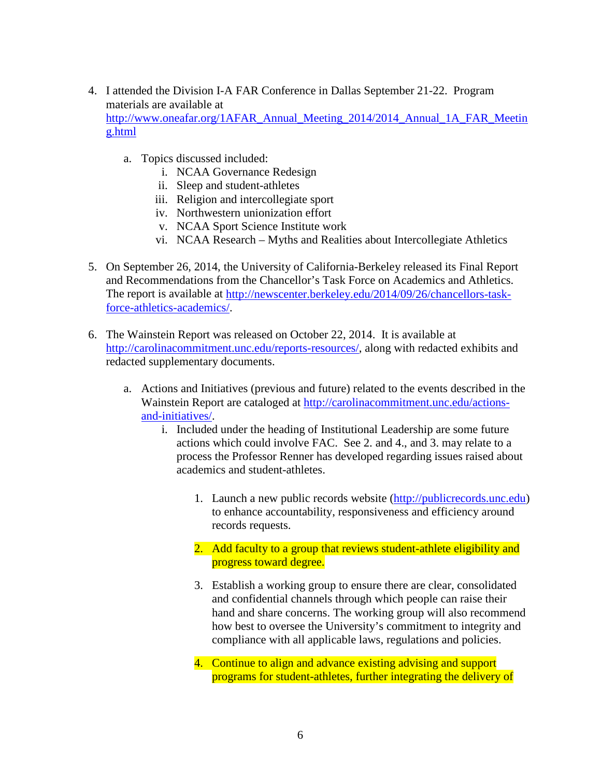- 4. I attended the Division I-A FAR Conference in Dallas September 21-22. Program materials are available at [http://www.oneafar.org/1AFAR\\_Annual\\_Meeting\\_2014/2014\\_Annual\\_1A\\_FAR\\_Meetin](http://www.oneafar.org/1AFAR_Annual_Meeting_2014/2014_Annual_1A_FAR_Meeting.html) [g.html](http://www.oneafar.org/1AFAR_Annual_Meeting_2014/2014_Annual_1A_FAR_Meeting.html)
	- a. Topics discussed included:
		- i. NCAA Governance Redesign
		- ii. Sleep and student-athletes
		- iii. Religion and intercollegiate sport
		- iv. Northwestern unionization effort
		- v. NCAA Sport Science Institute work
		- vi. NCAA Research Myths and Realities about Intercollegiate Athletics
- 5. On September 26, 2014, the University of California-Berkeley released its Final Report and Recommendations from the Chancellor's Task Force on Academics and Athletics. The report is available at [http://newscenter.berkeley.edu/2014/09/26/chancellors-task](http://newscenter.berkeley.edu/2014/09/26/chancellors-task-force-athletics-academics/)[force-athletics-academics/.](http://newscenter.berkeley.edu/2014/09/26/chancellors-task-force-athletics-academics/)
- 6. The Wainstein Report was released on October 22, 2014. It is available at [http://carolinacommitment.unc.edu/reports-resources/,](http://carolinacommitment.unc.edu/reports-resources/) along with redacted exhibits and redacted supplementary documents.
	- a. Actions and Initiatives (previous and future) related to the events described in the Wainstein Report are cataloged at [http://carolinacommitment.unc.edu/actions](http://carolinacommitment.unc.edu/actions-and-initiatives/)[and-initiatives/.](http://carolinacommitment.unc.edu/actions-and-initiatives/)
		- i. Included under the heading of Institutional Leadership are some future actions which could involve FAC. See 2. and 4., and 3. may relate to a process the Professor Renner has developed regarding issues raised about academics and student-athletes.
			- 1. Launch a new public records website [\(http://publicrecords.unc.edu\)](http://publicrecords.unc.edu/) to enhance accountability, responsiveness and efficiency around records requests.
			- 2. Add faculty to a group that reviews student-athlete eligibility and progress toward degree.
			- 3. Establish a working group to ensure there are clear, consolidated and confidential channels through which people can raise their hand and share concerns. The working group will also recommend how best to oversee the University's commitment to integrity and compliance with all applicable laws, regulations and policies.
			- 4. Continue to align and advance existing advising and support programs for student-athletes, further integrating the delivery of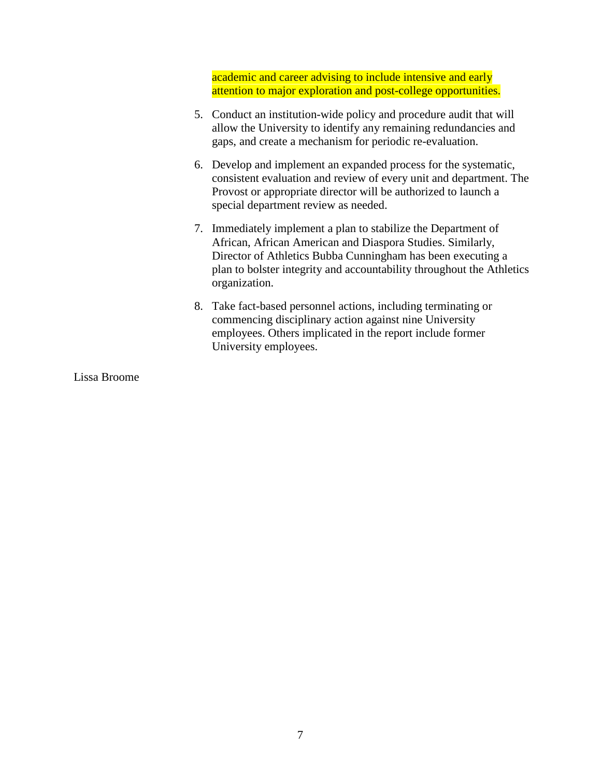academic and career advising to include intensive and early attention to major exploration and post-college opportunities.

- 5. Conduct an institution-wide policy and procedure audit that will allow the University to identify any remaining redundancies and gaps, and create a mechanism for periodic re-evaluation.
- 6. Develop and implement an expanded process for the systematic, consistent evaluation and review of every unit and department. The Provost or appropriate director will be authorized to launch a special department review as needed.
- 7. Immediately implement a plan to stabilize the Department of African, African American and Diaspora Studies. Similarly, Director of Athletics Bubba Cunningham has been executing a plan to bolster integrity and accountability throughout the Athletics organization.
- 8. Take fact-based personnel actions, including terminating or commencing disciplinary action against nine University employees. Others implicated in the report include former University employees.

Lissa Broome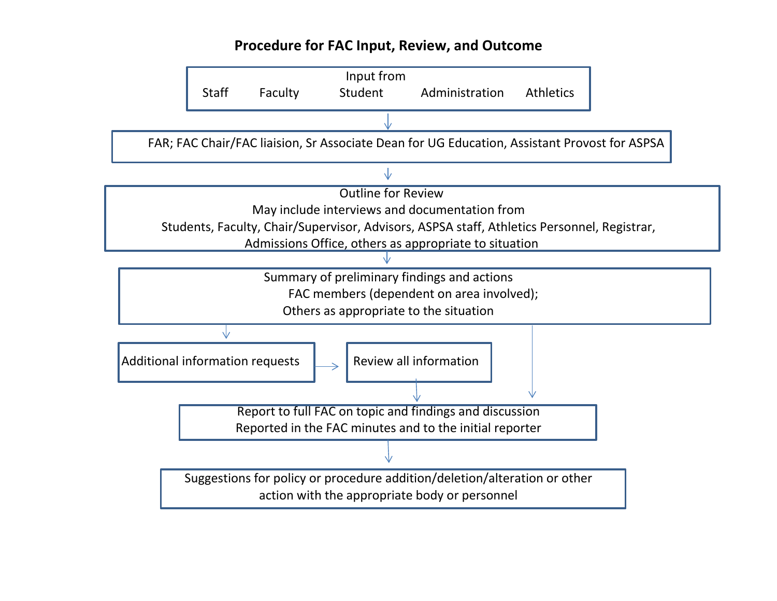# **Procedure for FAC Input, Review, and Outcome**